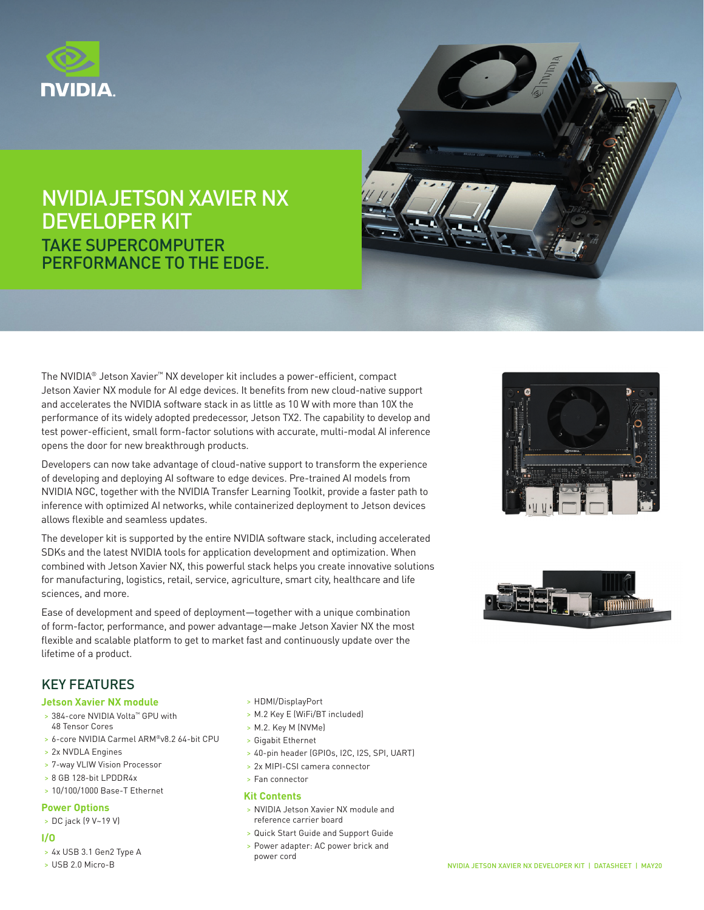

## NVIDIA JETSON XAVIER NX DEVELOPER KIT TAKE SUPERCOMPUTER PERFORMANCE TO THE EDGE.



The NVIDIA® Jetson Xavier™ NX developer kit includes a power-efficient, compact Jetson Xavier NX module for AI edge devices. It benefits from new cloud-native support and accelerates the NVIDIA software stack in as little as 10 W with more than 10X the performance of its widely adopted predecessor, Jetson TX2. The capability to develop and test power-efficient, small form-factor solutions with accurate, multi-modal AI inference opens the door for new breakthrough products.

Developers can now take advantage of cloud-native support to transform the experience of developing and deploying AI software to edge devices. Pre-trained AI models from NVIDIA NGC, together with the NVIDIA Transfer Learning Toolkit, provide a faster path to inference with optimized AI networks, while containerized deployment to Jetson devices allows flexible and seamless updates.

The developer kit is supported by the entire NVIDIA software stack, including accelerated SDKs and the latest NVIDIA tools for application development and optimization. When combined with Jetson Xavier NX, this powerful stack helps you create innovative solutions for manufacturing, logistics, retail, service, agriculture, smart city, healthcare and life sciences, and more.

Ease of development and speed of deployment—together with a unique combination of form-factor, performance, and power advantage—make Jetson Xavier NX the most flexible and scalable platform to get to market fast and continuously update over the lifetime of a product.





## KEY FEATURES

#### **Jetson Xavier NX module**

- > 384-core NVIDIA Volta™ GPU with 48 Tensor Cores
- > 6-core NVIDIA Carmel ARM®v8.2 64-bit CPU
- > 2x NVDLA Engines
- > 7-way VLIW Vision Processor
- > 8 GB 128-bit LPDDR4x
- > 10/100/1000 Base-T Ethernet

#### **Power Options**

> DC jack (9 V~19 V)

#### **I/O**

- > 4x USB 3.1 Gen2 Type A
- > USB 2.0 Micro-B
- > HDMI/DisplayPort
- > M.2 Key E (WiFi/BT included)
- > M.2. Key M (NVMe)
- > Gigabit Ethernet
- > 40-pin header (GPIOs, I2C, I2S, SPI, UART)
- > 2x MIPI-CSI camera connector
- > Fan connector

#### **Kit Contents**

- > NVIDIA Jetson Xavier NX module and reference carrier board
- > Quick Start Guide and Support Guide
- > Power adapter: AC power brick and power cord